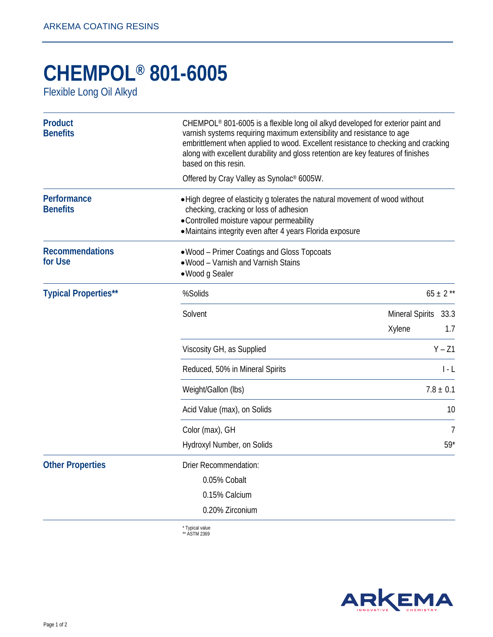## **CHEMPOL® 801-6005**

Flexible Long Oil Alkyd

| <b>Product</b><br><b>Benefits</b> | CHEMPOL® 801-6005 is a flexible long oil alkyd developed for exterior paint and<br>varnish systems requiring maximum extensibility and resistance to age<br>embrittlement when applied to wood. Excellent resistance to checking and cracking<br>along with excellent durability and gloss retention are key features of finishes<br>based on this resin. |                                  |             |  |
|-----------------------------------|-----------------------------------------------------------------------------------------------------------------------------------------------------------------------------------------------------------------------------------------------------------------------------------------------------------------------------------------------------------|----------------------------------|-------------|--|
|                                   | Offered by Cray Valley as Synolac® 6005W.                                                                                                                                                                                                                                                                                                                 |                                  |             |  |
| Performance<br><b>Benefits</b>    | • High degree of elasticity g tolerates the natural movement of wood without<br>checking, cracking or loss of adhesion<br>• Controlled moisture vapour permeability<br>·Maintains integrity even after 4 years Florida exposure                                                                                                                           |                                  |             |  |
| <b>Recommendations</b><br>for Use | • Wood – Primer Coatings and Gloss Topcoats<br>. Wood - Varnish and Varnish Stains<br>· Wood g Sealer                                                                                                                                                                                                                                                     |                                  |             |  |
| <b>Typical Properties**</b>       | %Solids                                                                                                                                                                                                                                                                                                                                                   | $65 \pm 2$ **                    |             |  |
|                                   | Solvent                                                                                                                                                                                                                                                                                                                                                   | <b>Mineral Spirits</b><br>Xylene | 33.3<br>1.7 |  |
|                                   | Viscosity GH, as Supplied                                                                                                                                                                                                                                                                                                                                 |                                  | $Y - Z1$    |  |
|                                   | Reduced, 50% in Mineral Spirits                                                                                                                                                                                                                                                                                                                           | l - L                            |             |  |
|                                   | Weight/Gallon (lbs)                                                                                                                                                                                                                                                                                                                                       | $7.8 \pm 0.1$                    |             |  |
|                                   | Acid Value (max), on Solids                                                                                                                                                                                                                                                                                                                               |                                  | 10          |  |
|                                   | Color (max), GH                                                                                                                                                                                                                                                                                                                                           |                                  | 7           |  |
|                                   | Hydroxyl Number, on Solids                                                                                                                                                                                                                                                                                                                                | $59*$                            |             |  |
| <b>Other Properties</b>           | <b>Drier Recommendation:</b>                                                                                                                                                                                                                                                                                                                              |                                  |             |  |
|                                   | 0.05% Cobalt                                                                                                                                                                                                                                                                                                                                              |                                  |             |  |
|                                   | 0.15% Calcium                                                                                                                                                                                                                                                                                                                                             |                                  |             |  |
|                                   | 0.20% Zirconium                                                                                                                                                                                                                                                                                                                                           |                                  |             |  |
|                                   |                                                                                                                                                                                                                                                                                                                                                           |                                  |             |  |

\* Typical value \*\* ASTM 2369